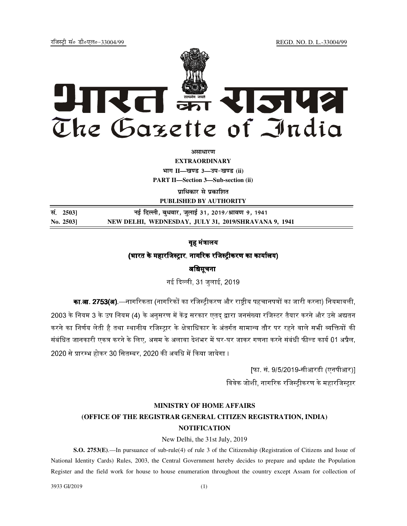jftLVªh laö Mhö,yö&33004@99 REGD. NO. D. L.-33004/99



*<u>aurentur</u>* 

**EXTRAORDINARY Hkkx II—[k.M 3—mi&[k.M (ii) PART II—Section 3—Sub-section (ii)** 

**प्राधिकार से प्रकाशित** 

**PUBLISHED BY AUTHORITY**

**la- 2503] ubZ fnYyh] cq/okj] tqykbZ 31] 2019@Jko.k 9] 1941 No. 2503] NEW DELHI, WEDNESDAY, JULY 31, 2019/SHRAVANA 9, 1941**

# गह मंत्रालय

### (भारत के महारजिस्टार, नागरिक रजिस्टीकरण का कार्यालय)

#### अधिसूचना

नई दिल्ली, 31 जलाई, 2019

**का.आ. 2753(अ)**.—नागरिकता (नागरिकों का रजिस्टीकरण और राष्टीय पहचानपत्रों का जारी करना) नियमावली, 2003 के नियम 3 के उप नियम (4) के अनसरण में केंद्र सरकार एतद द्वारा जनसंख्या रजिस्टर तैयार करने और उसे अद्यतन करने का निर्णय लेती है तथा स्थानीय रजिस्टार के क्षेत्राधिकार के अंतर्गत सामान्य तौर पर रहने वाले सभी व्यक्तियों की संबंधित जानकारी एकत्र करने के लिए, असम के अलावा देशभर में घर-घर जाकर गणना करने संबंधी फील्ड कार्य 01 अप्रैल, 2020 से प्रारम्भ होकर 30 सितम्बर, 2020 की अवधि में किया जायेगा ।

> [फा. सं. 9/5/2019-सीआरडी (एनपीआर)] विवेक जोशी, नागरिक रजिस्टीकरण के महारजिस्टार

#### **MINISTRY OF HOME AFFAIRS**

## **(OFFICE OF THE REGISTRAR GENERAL CITIZEN REGISTRATION, INDIA) NOTIFICATION**

#### New Delhi, the 31st July, 2019

**S.O. 2753(E)**.—In pursuance of sub-rule(4) of rule 3 of the Citizenship (Registration of Citizens and Issue of National Identity Cards) Rules, 2003, the Central Government hereby decides to prepare and update the Population Register and the field work for house to house enumeration throughout the country except Assam for collection of

3933 GI/2019 (1)